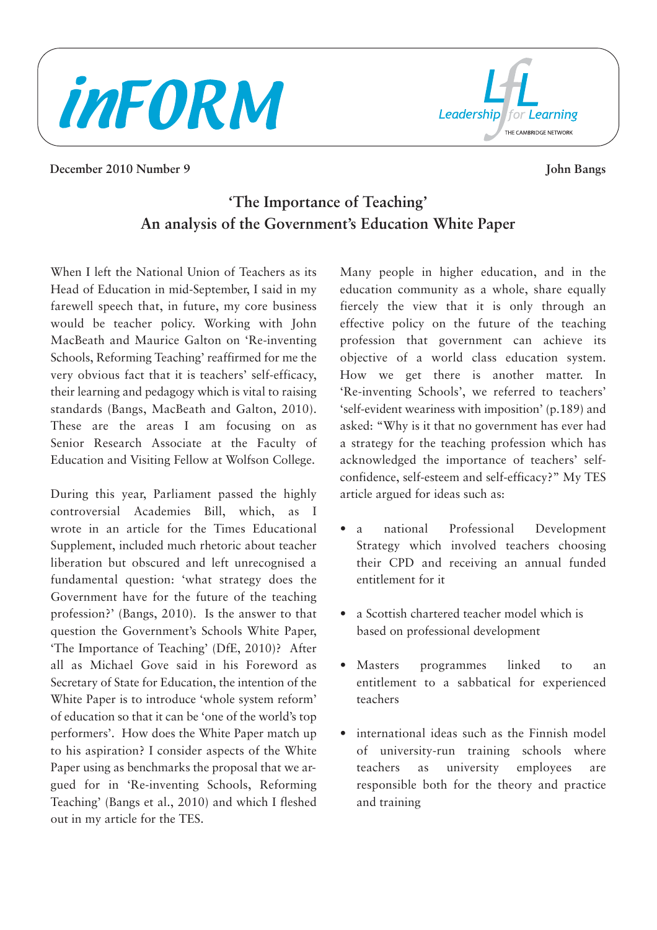



#### **December 2010 Number 9 John Bangs**

# **'The Importance of Teaching' An analysis of the Government's Education White Paper**

When I left the National Union of Teachers as its Head of Education in mid-September, I said in my farewell speech that, in future, my core business would be teacher policy. Working with John MacBeath and Maurice Galton on 'Re-inventing Schools, Reforming Teaching' reaffirmed for me the very obvious fact that it is teachers' self-efficacy, their learning and pedagogy which is vital to raising standards (Bangs, MacBeath and Galton, 2010). These are the areas I am focusing on as Senior Research Associate at the Faculty of Education and Visiting Fellow at Wolfson College.

During this year, Parliament passed the highly controversial Academies Bill, which, as I wrote in an article for the Times Educational Supplement, included much rhetoric about teacher liberation but obscured and left unrecognised a fundamental question: 'what strategy does the Government have for the future of the teaching profession?' (Bangs, 2010). Is the answer to that question the Government's Schools White Paper, 'The Importance of Teaching' (DfE, 2010)? After all as Michael Gove said in his Foreword as Secretary of State for Education, the intention of the White Paper is to introduce 'whole system reform' of education so that it can be 'one of the world's top performers'. How does the White Paper match up to his aspiration? I consider aspects of the White Paper using as benchmarks the proposal that we argued for in 'Re-inventing Schools, Reforming Teaching' (Bangs et al., 2010) and which I fleshed out in my article for the TES.

Many people in higher education, and in the education community as a whole, share equally fiercely the view that it is only through an effective policy on the future of the teaching profession that government can achieve its objective of a world class education system. How we get there is another matter. In 'Re-inventing Schools', we referred to teachers' 'self-evident weariness with imposition' (p.189) and asked: "Why is it that no government has ever had a strategy for the teaching profession which has acknowledged the importance of teachers' selfconfidence, self-esteem and self-efficacy?" My TES article argued for ideas such as:

- a national Professional Development Strategy which involved teachers choosing their CPD and receiving an annual funded entitlement for it
- a Scottish chartered teacher model which is based on professional development
- Masters programmes linked to an entitlement to a sabbatical for experienced teachers
- international ideas such as the Finnish model of university-run training schools where teachers as university employees are responsible both for the theory and practice and training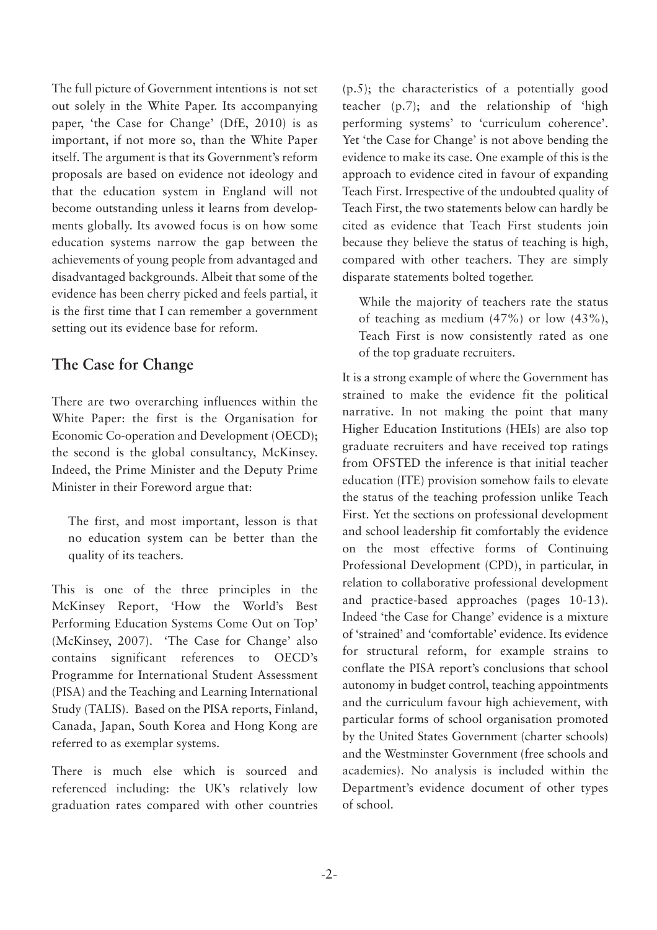The full picture of Government intentions is not set out solely in the White Paper. Its accompanying paper, 'the Case for Change' (DfE, 2010) is as important, if not more so, than the White Paper itself. The argument is that its Government's reform proposals are based on evidence not ideology and that the education system in England will not become outstanding unless it learns from developments globally. Its avowed focus is on how some education systems narrow the gap between the achievements of young people from advantaged and disadvantaged backgrounds. Albeit that some of the evidence has been cherry picked and feels partial, it is the first time that I can remember a government setting out its evidence base for reform.

#### **The Case for Change**

There are two overarching influences within the White Paper: the first is the Organisation for Economic Co-operation and Development (OECD); the second is the global consultancy, McKinsey. Indeed, the Prime Minister and the Deputy Prime Minister in their Foreword argue that:

The first, and most important, lesson is that no education system can be better than the quality of its teachers.

This is one of the three principles in the McKinsey Report, 'How the World's Best Performing Education Systems Come Out on Top' (McKinsey, 2007). 'The Case for Change' also contains significant references to OECD's Programme for International Student Assessment (PISA) and the Teaching and Learning International Study (TALIS). Based on the PISA reports, Finland, Canada, Japan, South Korea and Hong Kong are referred to as exemplar systems.

There is much else which is sourced and referenced including: the UK's relatively low graduation rates compared with other countries (p.5); the characteristics of a potentially good teacher (p.7); and the relationship of 'high performing systems' to 'curriculum coherence'. Yet 'the Case for Change' is not above bending the evidence to make its case. One example of this is the approach to evidence cited in favour of expanding Teach First. Irrespective of the undoubted quality of Teach First, the two statements below can hardly be cited as evidence that Teach First students join because they believe the status of teaching is high, compared with other teachers. They are simply disparate statements bolted together.

While the majority of teachers rate the status of teaching as medium (47%) or low (43%), Teach First is now consistently rated as one of the top graduate recruiters.

It is a strong example of where the Government has strained to make the evidence fit the political narrative. In not making the point that many Higher Education Institutions (HEIs) are also top graduate recruiters and have received top ratings from OFSTED the inference is that initial teacher education (ITE) provision somehow fails to elevate the status of the teaching profession unlike Teach First. Yet the sections on professional development and school leadership fit comfortably the evidence on the most effective forms of Continuing Professional Development (CPD), in particular, in relation to collaborative professional development and practice-based approaches (pages 10-13). Indeed 'the Case for Change' evidence is a mixture of 'strained' and 'comfortable' evidence. Its evidence for structural reform, for example strains to conflate the PISA report's conclusions that school autonomy in budget control, teaching appointments and the curriculum favour high achievement, with particular forms of school organisation promoted by the United States Government (charter schools) and the Westminster Government (free schools and academies). No analysis is included within the Department's evidence document of other types of school.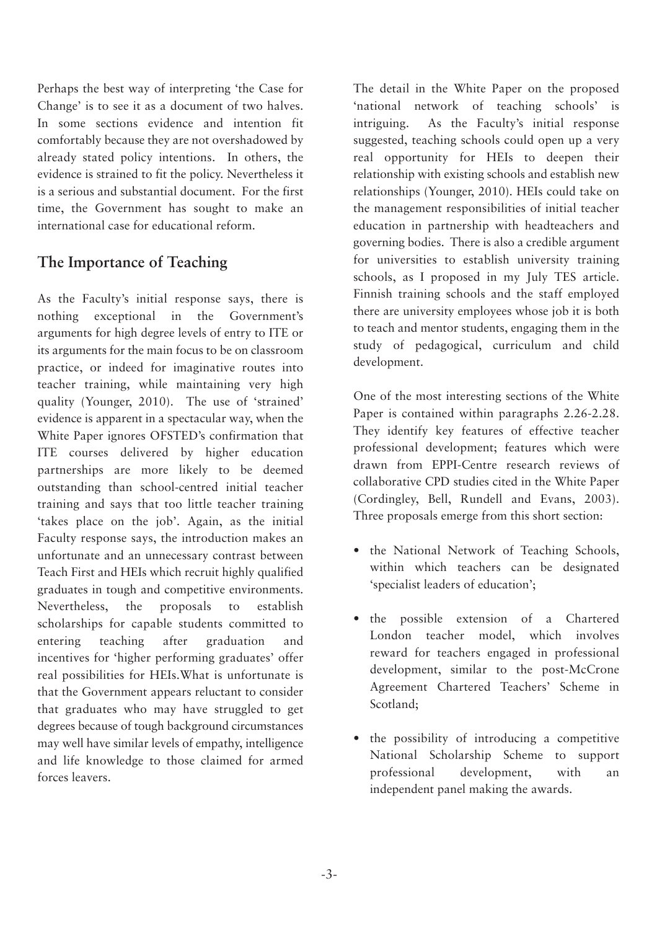Perhaps the best way of interpreting 'the Case for Change' is to see it as a document of two halves. In some sections evidence and intention fit comfortably because they are not overshadowed by already stated policy intentions. In others, the evidence is strained to fit the policy. Nevertheless it is a serious and substantial document. For the first time, the Government has sought to make an international case for educational reform.

### **The Importance of Teaching**

As the Faculty's initial response says, there is nothing exceptional in the Government's arguments for high degree levels of entry to ITE or its arguments for the main focus to be on classroom practice, or indeed for imaginative routes into teacher training, while maintaining very high quality (Younger, 2010). The use of 'strained' evidence is apparent in a spectacular way, when the White Paper ignores OFSTED's confirmation that ITE courses delivered by higher education partnerships are more likely to be deemed outstanding than school-centred initial teacher training and says that too little teacher training 'takes place on the job'. Again, as the initial Faculty response says, the introduction makes an unfortunate and an unnecessary contrast between Teach First and HEIs which recruit highly qualified graduates in tough and competitive environments. Nevertheless, the proposals to establish scholarships for capable students committed to entering teaching after graduation and incentives for 'higher performing graduates' offer real possibilities for HEIs.What is unfortunate is that the Government appears reluctant to consider that graduates who may have struggled to get degrees because of tough background circumstances may well have similar levels of empathy, intelligence and life knowledge to those claimed for armed forces leavers.

The detail in the White Paper on the proposed 'national network of teaching schools' is intriguing. As the Faculty's initial response suggested, teaching schools could open up a very real opportunity for HEIs to deepen their relationship with existing schools and establish new relationships (Younger, 2010). HEIs could take on the management responsibilities of initial teacher education in partnership with headteachers and governing bodies. There is also a credible argument for universities to establish university training schools, as I proposed in my July TES article. Finnish training schools and the staff employed there are university employees whose job it is both to teach and mentor students, engaging them in the study of pedagogical, curriculum and child development.

One of the most interesting sections of the White Paper is contained within paragraphs 2.26-2.28. They identify key features of effective teacher professional development; features which were drawn from EPPI-Centre research reviews of collaborative CPD studies cited in the White Paper (Cordingley, Bell, Rundell and Evans, 2003). Three proposals emerge from this short section:

- the National Network of Teaching Schools, within which teachers can be designated 'specialist leaders of education';
- the possible extension of a Chartered London teacher model, which involves reward for teachers engaged in professional development, similar to the post-McCrone Agreement Chartered Teachers' Scheme in Scotland;
- the possibility of introducing a competitive National Scholarship Scheme to support professional development, with an independent panel making the awards.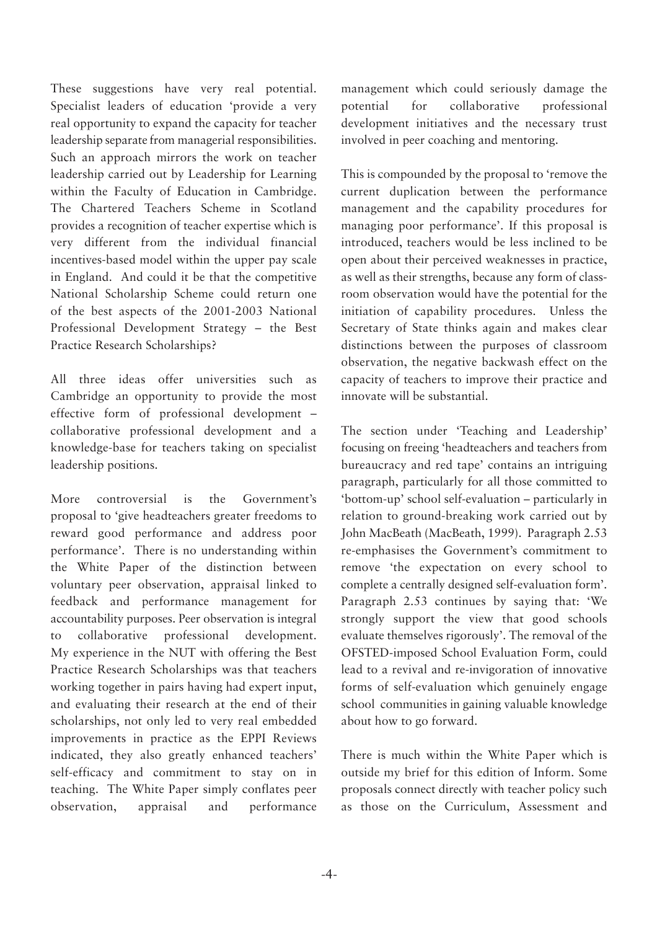These suggestions have very real potential. Specialist leaders of education 'provide a very real opportunity to expand the capacity for teacher leadership separate from managerial responsibilities. Such an approach mirrors the work on teacher leadership carried out by Leadership for Learning within the Faculty of Education in Cambridge. The Chartered Teachers Scheme in Scotland provides a recognition of teacher expertise which is very different from the individual financial incentives-based model within the upper pay scale in England. And could it be that the competitive National Scholarship Scheme could return one of the best aspects of the 2001-2003 National Professional Development Strategy – the Best Practice Research Scholarships?

All three ideas offer universities such as Cambridge an opportunity to provide the most effective form of professional development – collaborative professional development and a knowledge-base for teachers taking on specialist leadership positions.

More controversial is the Government's proposal to 'give headteachers greater freedoms to reward good performance and address poor performance'. There is no understanding within the White Paper of the distinction between voluntary peer observation, appraisal linked to feedback and performance management for accountability purposes. Peer observation is integral to collaborative professional development. My experience in the NUT with offering the Best Practice Research Scholarships was that teachers working together in pairs having had expert input, and evaluating their research at the end of their scholarships, not only led to very real embedded improvements in practice as the EPPI Reviews indicated, they also greatly enhanced teachers' self-efficacy and commitment to stay on in teaching. The White Paper simply conflates peer observation, appraisal and performance management which could seriously damage the potential for collaborative professional development initiatives and the necessary trust involved in peer coaching and mentoring.

This is compounded by the proposal to 'remove the current duplication between the performance management and the capability procedures for managing poor performance'. If this proposal is introduced, teachers would be less inclined to be open about their perceived weaknesses in practice, as well as their strengths, because any form of classroom observation would have the potential for the initiation of capability procedures. Unless the Secretary of State thinks again and makes clear distinctions between the purposes of classroom observation, the negative backwash effect on the capacity of teachers to improve their practice and innovate will be substantial.

The section under 'Teaching and Leadership' focusing on freeing 'headteachers and teachers from bureaucracy and red tape' contains an intriguing paragraph, particularly for all those committed to 'bottom-up' school self-evaluation – particularly in relation to ground-breaking work carried out by John MacBeath (MacBeath, 1999). Paragraph 2.53 re-emphasises the Government's commitment to remove 'the expectation on every school to complete a centrally designed self-evaluation form'. Paragraph 2.53 continues by saying that: 'We strongly support the view that good schools evaluate themselves rigorously'. The removal of the OFSTED-imposed School Evaluation Form, could lead to a revival and re-invigoration of innovative forms of self-evaluation which genuinely engage school communities in gaining valuable knowledge about how to go forward.

There is much within the White Paper which is outside my brief for this edition of Inform. Some proposals connect directly with teacher policy such as those on the Curriculum, Assessment and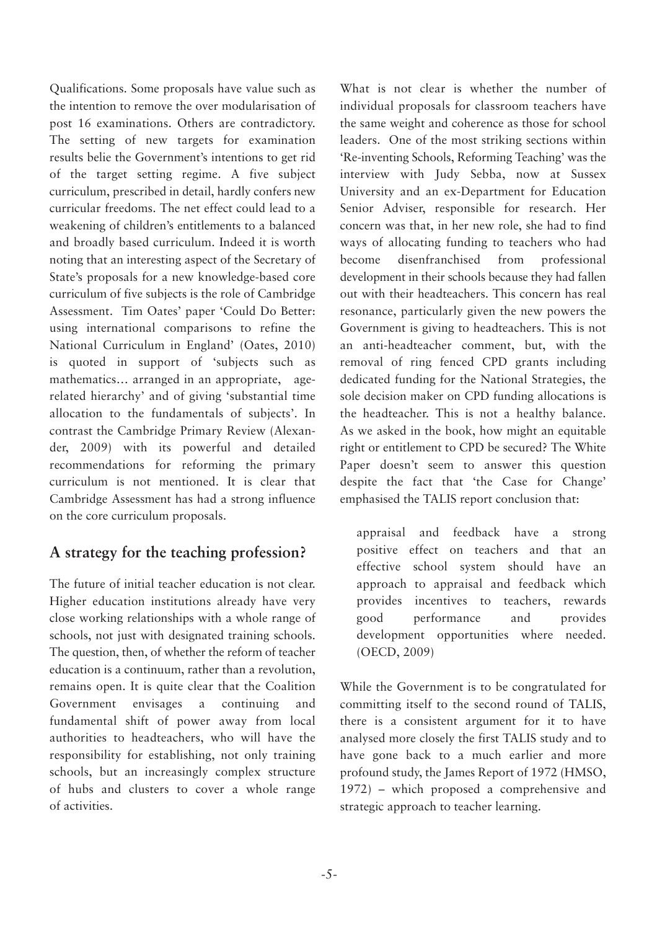Qualifications. Some proposals have value such as the intention to remove the over modularisation of post 16 examinations. Others are contradictory. The setting of new targets for examination results belie the Government's intentions to get rid of the target setting regime. A five subject curriculum, prescribed in detail, hardly confers new curricular freedoms. The net effect could lead to a weakening of children's entitlements to a balanced and broadly based curriculum. Indeed it is worth noting that an interesting aspect of the Secretary of State's proposals for a new knowledge-based core curriculum of five subjects is the role of Cambridge Assessment. Tim Oates' paper 'Could Do Better: using international comparisons to refine the National Curriculum in England' (Oates, 2010) is quoted in support of 'subjects such as mathematics… arranged in an appropriate, agerelated hierarchy' and of giving 'substantial time allocation to the fundamentals of subjects'. In contrast the Cambridge Primary Review (Alexander, 2009) with its powerful and detailed recommendations for reforming the primary curriculum is not mentioned. It is clear that Cambridge Assessment has had a strong influence on the core curriculum proposals.

# **A strategy for the teaching profession?**

The future of initial teacher education is not clear. Higher education institutions already have very close working relationships with a whole range of schools, not just with designated training schools. The question, then, of whether the reform of teacher education is a continuum, rather than a revolution, remains open. It is quite clear that the Coalition Government envisages a continuing and fundamental shift of power away from local authorities to headteachers, who will have the responsibility for establishing, not only training schools, but an increasingly complex structure of hubs and clusters to cover a whole range of activities.

What is not clear is whether the number of individual proposals for classroom teachers have the same weight and coherence as those for school leaders. One of the most striking sections within 'Re-inventing Schools, Reforming Teaching' was the interview with Judy Sebba, now at Sussex University and an ex-Department for Education Senior Adviser, responsible for research. Her concern was that, in her new role, she had to find ways of allocating funding to teachers who had become disenfranchised from professional development in their schools because they had fallen out with their headteachers. This concern has real resonance, particularly given the new powers the Government is giving to headteachers. This is not an anti-headteacher comment, but, with the removal of ring fenced CPD grants including dedicated funding for the National Strategies, the sole decision maker on CPD funding allocations is the headteacher. This is not a healthy balance. As we asked in the book, how might an equitable right or entitlement to CPD be secured? The White Paper doesn't seem to answer this question despite the fact that 'the Case for Change' emphasised the TALIS report conclusion that:

appraisal and feedback have a strong positive effect on teachers and that an effective school system should have an approach to appraisal and feedback which provides incentives to teachers, rewards good performance and provides development opportunities where needed. (OECD, 2009)

While the Government is to be congratulated for committing itself to the second round of TALIS, there is a consistent argument for it to have analysed more closely the first TALIS study and to have gone back to a much earlier and more profound study, the James Report of 1972 (HMSO, 1972) – which proposed a comprehensive and strategic approach to teacher learning.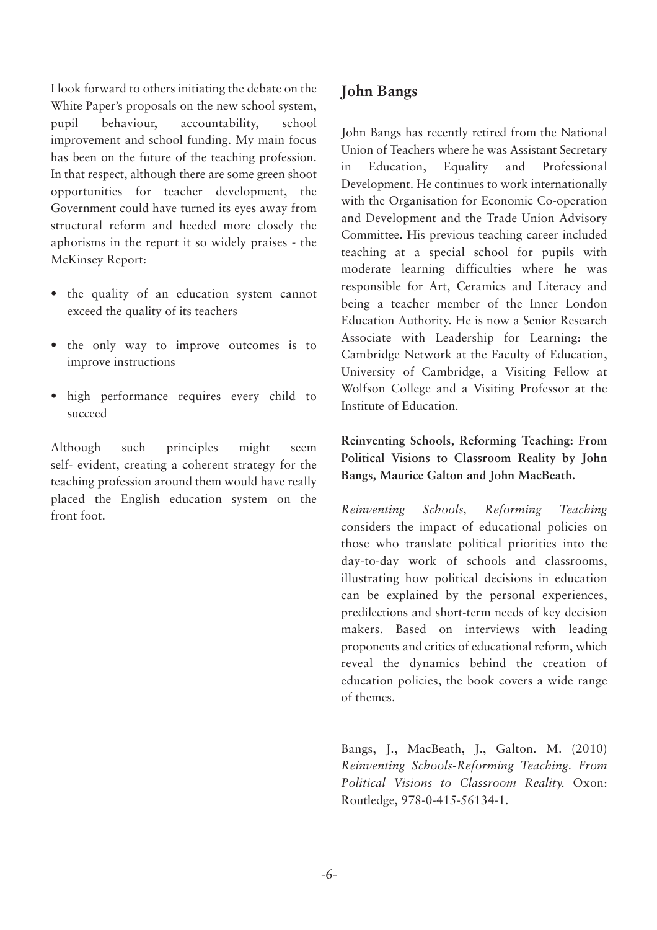I look forward to others initiating the debate on the White Paper's proposals on the new school system, pupil behaviour, accountability, school improvement and school funding. My main focus has been on the future of the teaching profession. In that respect, although there are some green shoot opportunities for teacher development, the Government could have turned its eyes away from structural reform and heeded more closely the aphorisms in the report it so widely praises - the McKinsey Report:

- the quality of an education system cannot exceed the quality of its teachers
- the only way to improve outcomes is to improve instructions
- high performance requires every child to succeed

Although such principles might seem self- evident, creating a coherent strategy for the teaching profession around them would have really placed the English education system on the front foot.

## **John Bangs**

John Bangs has recently retired from the National Union of Teachers where he was Assistant Secretary in Education, Equality and Professional Development. He continues to work internationally with the Organisation for Economic Co-operation and Development and the Trade Union Advisory Committee. His previous teaching career included teaching at a special school for pupils with moderate learning difficulties where he was responsible for Art, Ceramics and Literacy and being a teacher member of the Inner London Education Authority. He is now a Senior Research Associate with Leadership for Learning: the Cambridge Network at the Faculty of Education, University of Cambridge, a Visiting Fellow at Wolfson College and a Visiting Professor at the Institute of Education.

**Reinventing Schools, Reforming Teaching: From Political Visions to Classroom Reality by John Bangs, Maurice Galton and John MacBeath.**

*Reinventing Schools, Reforming Teaching* considers the impact of educational policies on those who translate political priorities into the day-to-day work of schools and classrooms, illustrating how political decisions in education can be explained by the personal experiences, predilections and short-term needs of key decision makers. Based on interviews with leading proponents and critics of educational reform, which reveal the dynamics behind the creation of education policies, the book covers a wide range of themes.

Bangs, J., MacBeath, J., Galton. M. (2010) *Reinventing Schools-Reforming Teaching. From Political Visions to Classroom Reality.* Oxon: Routledge, 978-0-415-56134-1.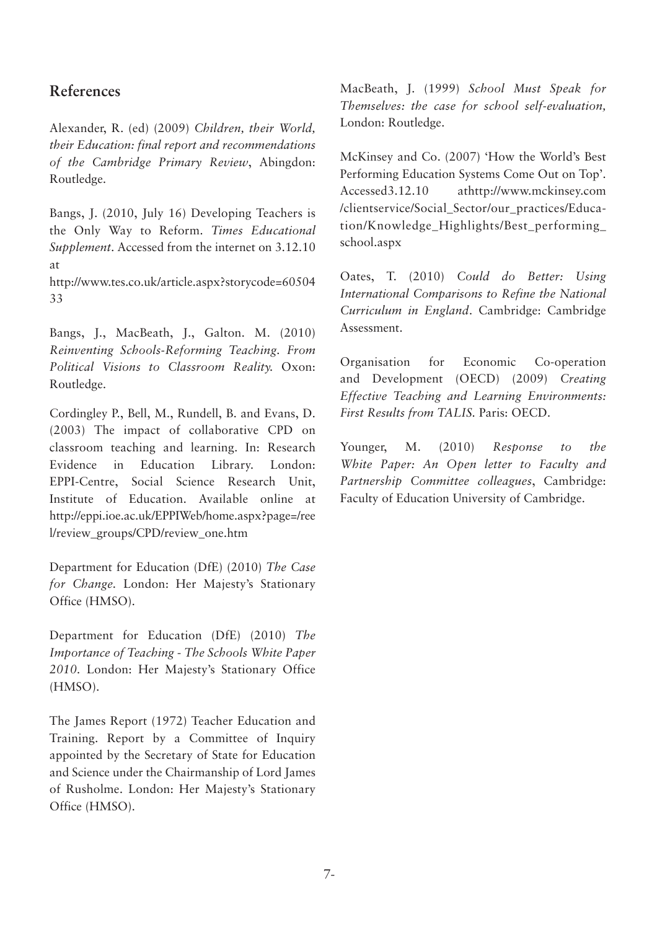#### **References**

Alexander, R. (ed) (2009) *Children, their World, their Education: final report and recommendations of the Cambridge Primary Review*, Abingdon: Routledge.

Bangs, J. (2010, July 16) Developing Teachers is the Only Way to Reform. *Times Educational Supplement*. Accessed from the internet on 3.12.10 at

http://www.tes.co.uk/article.aspx?storycode=60504 33

Bangs, J., MacBeath, J., Galton. M. (2010) *Reinventing Schools-Reforming Teaching. From Political Visions to Classroom Reality.* Oxon: Routledge.

Cordingley P., Bell, M., Rundell, B. and Evans, D. (2003) The impact of collaborative CPD on classroom teaching and learning. In: Research Evidence in Education Library. London: EPPI-Centre, Social Science Research Unit, Institute of Education. Available online at http://eppi.ioe.ac.uk/EPPIWeb/home.aspx?page=/ree l/review\_groups/CPD/review\_one.htm

Department for Education (DfE) (2010) *The Case for Change.* London: Her Majesty's Stationary Office (HMSO).

Department for Education (DfE) (2010) *The Importance of Teaching* - *The Schools White Paper 2010.* London: Her Majesty's Stationary Office (HMSO).

The James Report (1972) Teacher Education and Training. Report by a Committee of Inquiry appointed by the Secretary of State for Education and Science under the Chairmanship of Lord James of Rusholme. London: Her Majesty's Stationary Office (HMSO).

MacBeath, J. (1999) *School Must Speak for Themselves: the case for school self-evaluation,* London: Routledge.

McKinsey and Co. (2007) 'How the World's Best Performing Education Systems Come Out on Top'. Accessed3.12.10 athttp://www.mckinsey.com /clientservice/Social\_Sector/our\_practices/Education/Knowledge\_Highlights/Best\_performing\_ school.aspx

Oates, T. (2010) *Could do Better: Using International Comparisons to Refine the National Curriculum in England*. Cambridge: Cambridge Assessment.

Organisation for Economic Co-operation and Development (OECD) (2009) *Creating Effective Teaching and Learning Environments: First Results from TALIS.* Paris: OECD.

Younger, M. (2010) *Response to the White Paper: An Open letter to Faculty and Partnership Committee colleagues*, Cambridge: Faculty of Education University of Cambridge.